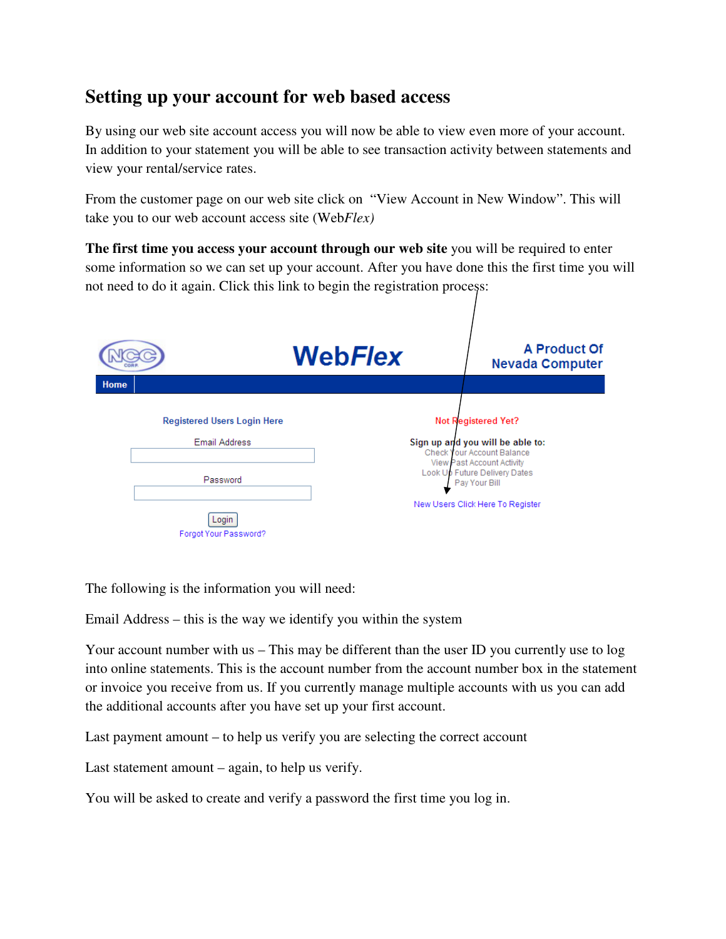## **Setting up your account for web based access**

By using our web site account access you will now be able to view even more of your account. In addition to your statement you will be able to see transaction activity between statements and view your rental/service rates.

From the customer page on our web site click on "View Account in New Window". This will take you to our web account access site (Web*Flex)*

**The first time you access your account through our web site** you will be required to enter some information so we can set up your account. After you have done this the first time you will not need to do it again. Click this link to begin the registration process:

|      |                                    | WebFlex | A Product Of<br><b>Nevada Computer</b>                                       |
|------|------------------------------------|---------|------------------------------------------------------------------------------|
| Home |                                    |         |                                                                              |
|      | <b>Registered Users Login Here</b> |         | <b>Not Registered Yet?</b>                                                   |
|      | Email Address                      |         | Sign up and you will be able to:<br>Check Your Account Balance               |
|      | Password                           |         | View Past Account Activity<br>Look Up Future Delivery Dates<br>Pay Your Bill |
|      | Login<br>Forgot Your Password?     |         | New Users Click Here To Register                                             |

The following is the information you will need:

Email Address – this is the way we identify you within the system

Your account number with us – This may be different than the user ID you currently use to log into online statements. This is the account number from the account number box in the statement or invoice you receive from us. If you currently manage multiple accounts with us you can add the additional accounts after you have set up your first account.

Last payment amount – to help us verify you are selecting the correct account

Last statement amount – again, to help us verify.

You will be asked to create and verify a password the first time you log in.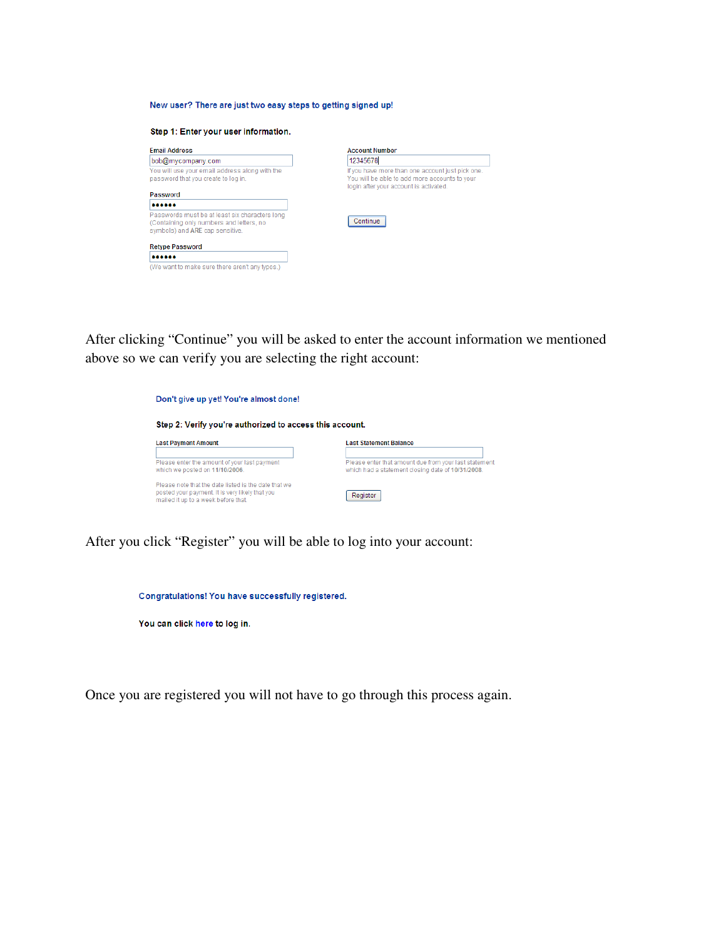## New user? There are just two easy steps to getting signed up!

| Step 1: Enter your user information.                                                  |                          |  |  |  |
|---------------------------------------------------------------------------------------|--------------------------|--|--|--|
| <b>Email Address</b>                                                                  | Acco                     |  |  |  |
| bob@mycompany.com                                                                     | 123                      |  |  |  |
| You will use your email address along with the<br>password that you create to log in. | If you<br>You:<br>$\sim$ |  |  |  |

Passwords must be at least six characters long<br>(Containing only numbers and letters, no<br>symbols) and ARE cap sensitive.

(We want to make sure there aren't any typos.)

Password  $\bullet \bullet \bullet \bullet \bullet \bullet$ 

**Retype Password** ......

ount Number 345678 If you have more than one account just pick one.<br>You will be able to add more accounts to your login after your account is activated.



After clicking "Continue" you will be asked to enter the account information we mentioned above so we can verify you are selecting the right account:

| Don't give up yet! You're almost done!                                                                                                         |                                                                                                            |  |  |  |  |
|------------------------------------------------------------------------------------------------------------------------------------------------|------------------------------------------------------------------------------------------------------------|--|--|--|--|
| Step 2: Verify you're authorized to access this account.                                                                                       |                                                                                                            |  |  |  |  |
| <b>Last Payment Amount</b>                                                                                                                     | <b>Last Statement Balance</b>                                                                              |  |  |  |  |
| Please enter the amount of your last payment<br>which we posted on 11/10/2006.                                                                 | Please enter that amount due from your last statement<br>which had a statement closing date of 10/31/2008. |  |  |  |  |
| Please note that the date listed is the date that we<br>posted your payment. It is very likely that you<br>mailed it up to a week before that. | Register                                                                                                   |  |  |  |  |

After you click "Register" you will be able to log into your account:



Once you are registered you will not have to go through this process again.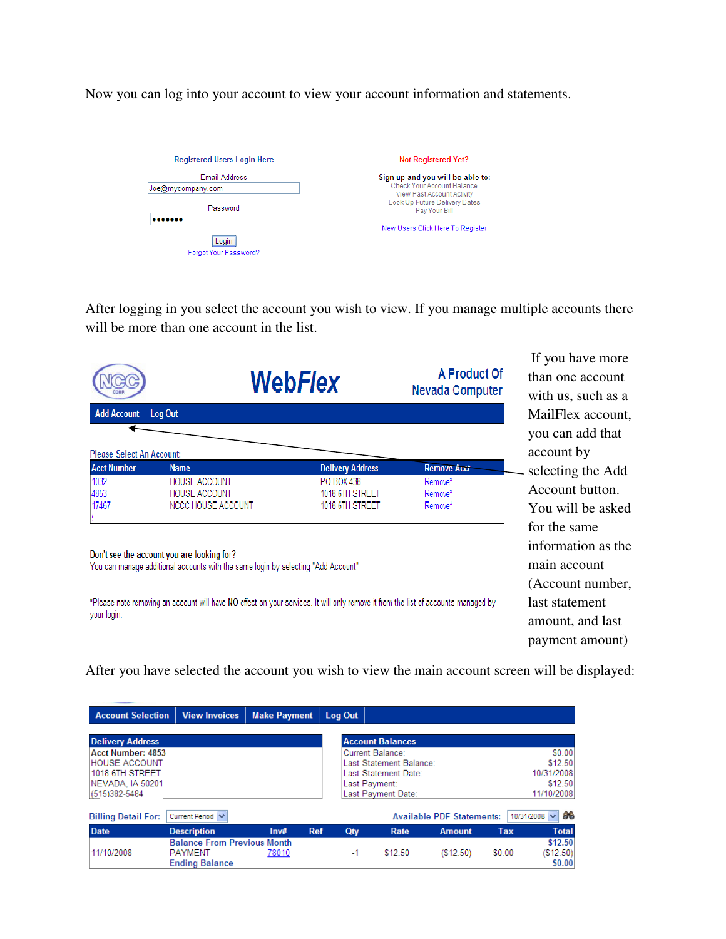Now you can log into your account to view your account information and statements.

| <b>Registered Users Login Here</b> | <b>Not Registered Yet?</b>                               |
|------------------------------------|----------------------------------------------------------|
| Email Address                      | Sign up and you will be able to:                         |
| Joe@mycompany.com                  | Check Your Account Balance<br>View Past Account Activity |
| Password                           | Look Up Future Delivery Dates<br>Pay Your Bill           |
|                                    | New Users Click Here To Register                         |
| Login<br>Forgot Your Password?     |                                                          |

After logging in you select the account you wish to view. If you manage multiple accounts there will be more than one account in the list.

|                                                        |                                                                           | <b>WebFlex</b>                                                              |                               |
|--------------------------------------------------------|---------------------------------------------------------------------------|-----------------------------------------------------------------------------|-------------------------------|
| <b>Add Account</b>                                     | Log Out                                                                   |                                                                             |                               |
| <b>Please Select An Account:</b><br><b>Acct Number</b> | <b>Name</b>                                                               |                                                                             | <b>Remove Acct</b>            |
| 1032<br>4853<br>17467                                  | <b>HOUSE ACCOUNT</b><br><b>HOUSE ACCOUNT</b><br><b>NCCC HOUSE ACCOUNT</b> | <b>Delivery Address</b><br>PO BOX 438<br>1018 6TH STREET<br>1018 6TH STREET | Remove*<br>Remove*<br>Remove* |

If you have more than one account with us, such as a MailFlex account, you can add that account by selecting the Add Account button. You will be asked for the same information as the main account (Account number, last statement amount, and last payment amount)

Don't see the account you are looking for?

You can manage additional accounts with the same login by selecting "Add Account"

\*Please note removing an account will have NO effect on your services. It will only remove it from the list of accounts managed by your login.

After you have selected the account you wish to view the main account screen will be displayed:

| <b>Account Selection</b>   | <b>View Invoices</b>               | <b>Make Payment</b> | Log Out           |                         |                                  |        |                         |
|----------------------------|------------------------------------|---------------------|-------------------|-------------------------|----------------------------------|--------|-------------------------|
| <b>Delivery Address</b>    |                                    |                     |                   | <b>Account Balances</b> |                                  |        |                         |
| Acct Number: 4853          |                                    |                     |                   | Current Balance:        |                                  |        | \$0.00                  |
| <b>HOUSE ACCOUNT</b>       |                                    |                     |                   | Last Statement Balance: |                                  |        | \$12.50                 |
| 1018 6TH STREET            |                                    |                     |                   | Last Statement Date:    |                                  |        | 10/31/2008              |
| NEVADA. IA 50201           |                                    |                     |                   | Last Payment:           |                                  |        | \$12.50                 |
| (515)382-5484              |                                    |                     |                   | Last Payment Date:      |                                  |        | 11/10/2008              |
| <b>Billing Detail For:</b> | Current Period V                   |                     |                   |                         | <b>Available PDF Statements:</b> |        | a.<br>10/31/2008 $\vee$ |
| <b>Date</b>                | <b>Description</b>                 | Inv#                | <b>Ref</b><br>Qty | Rate                    | <b>Amount</b>                    | Tax    | <b>Total</b>            |
|                            | <b>Balance From Previous Month</b> |                     |                   |                         |                                  |        | \$12.50                 |
| 11/10/2008                 | <b>PAYMENT</b>                     | 78010               |                   | \$12.50<br>$-1$         | (S12.50)                         | \$0.00 | (S12.50)                |
|                            | <b>Ending Balance</b>              |                     |                   |                         |                                  |        | \$0.00                  |